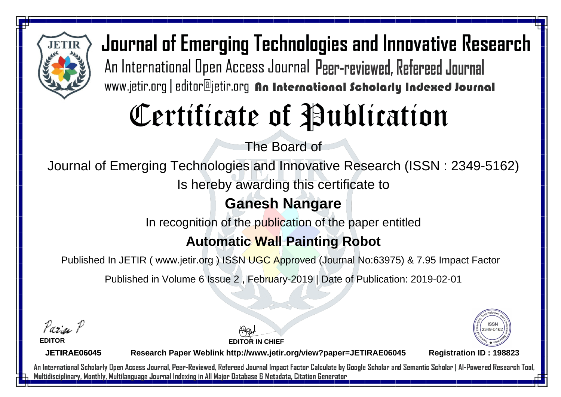

# Certificate of Publication

The Board of

Journal of Emerging Technologies and Innovative Research (ISSN : 2349-5162)

Is hereby awarding this certificate to

### **Ganesh Nangare**

In recognition of the publication of the paper entitled

#### **Automatic Wall Painting Robot**

Published In JETIR ( www.jetir.org ) ISSN UGC Approved (Journal No: 63975) & 7.95 Impact Factor

Published in Volume 6 Issue 2 , February-2019 | Date of Publication: 2019-02-01

Parin P

**EDITOR**

**EDITOR IN CHIEF**



**JETIRAE06045**

**Research Paper Weblink http://www.jetir.org/view?paper=JETIRAE06045 Registration ID : 198823**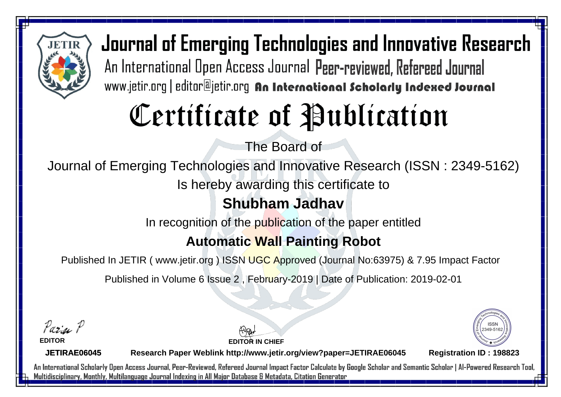

# Certificate of Publication

The Board of

Journal of Emerging Technologies and Innovative Research (ISSN : 2349-5162)

Is hereby awarding this certificate to

**Shubham Jadhav**

In recognition of the publication of the paper entitled

#### **Automatic Wall Painting Robot**

Published In JETIR ( www.jetir.org ) ISSN UGC Approved (Journal No: 63975) & 7.95 Impact Factor

Published in Volume 6 Issue 2 , February-2019 | Date of Publication: 2019-02-01

Parin P

**EDITOR**

**EDITOR IN CHIEF**



**JETIRAE06045**

**Research Paper Weblink http://www.jetir.org/view?paper=JETIRAE06045 Registration ID : 198823**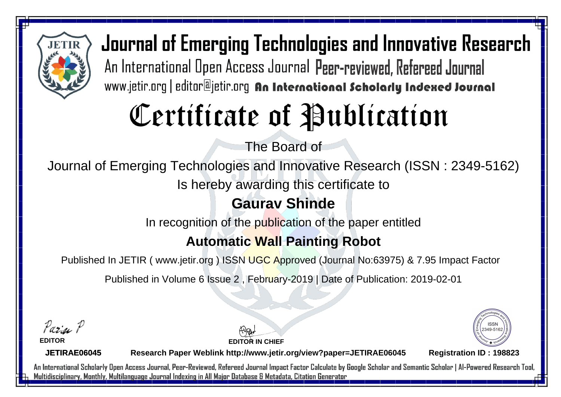

# Certificate of Publication

The Board of

Journal of Emerging Technologies and Innovative Research (ISSN : 2349-5162)

Is hereby awarding this certificate to

### **Gaurav Shinde**

In recognition of the publication of the paper entitled

### **Automatic Wall Painting Robot**

Published In JETIR ( www.jetir.org ) ISSN UGC Approved (Journal No: 63975) & 7.95 Impact Factor

Published in Volume 6 Issue 2 , February-2019 | Date of Publication: 2019-02-01

Parin P

**EDITOR**

**EDITOR IN CHIEF**



**JETIRAE06045**

**Research Paper Weblink http://www.jetir.org/view?paper=JETIRAE06045 Registration ID : 198823**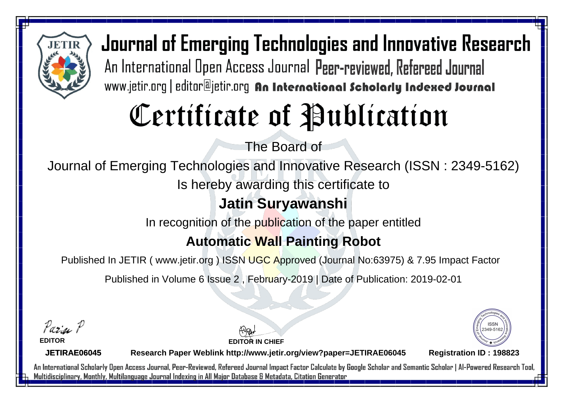

# Certificate of Publication

The Board of

Journal of Emerging Technologies and Innovative Research (ISSN : 2349-5162)

Is hereby awarding this certificate to

### **Jatin Suryawanshi**

In recognition of the publication of the paper entitled

#### **Automatic Wall Painting Robot**

Published In JETIR ( www.jetir.org ) ISSN UGC Approved (Journal No: 63975) & 7.95 Impact Factor

Published in Volume 6 Issue 2 , February-2019 | Date of Publication: 2019-02-01

Parin P

**EDITOR**

**EDITOR IN CHIEF**



**JETIRAE06045**

**Research Paper Weblink http://www.jetir.org/view?paper=JETIRAE06045 Registration ID : 198823**